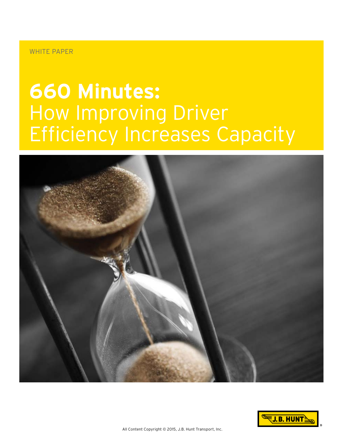#### WHITE PAPER

# **660 Minutes:** How Improving Driver Efficiency Increases Capacity



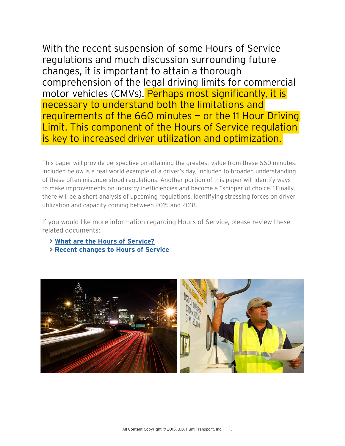With the recent suspension of some Hours of Service regulations and much discussion surrounding future changes, it is important to attain a thorough comprehension of the legal driving limits for commercial motor vehicles (CMVs). Perhaps most significantly, it is necessary to understand both the limitations and requirements of the 660 minutes — or the 11 Hour Driving Limit. This component of the Hours of Service regulation is key to increased driver utilization and optimization.

This paper will provide perspective on attaining the greatest value from these 660 minutes. Included below is a real-world example of a driver's day, included to broaden understanding of these often misunderstood regulations. Another portion of this paper will identify ways to make improvements on industry inefficiencies and become a "shipper of choice." Finally, there will be a short analysis of upcoming regulations, identifying stressing forces on driver utilization and capacity coming between 2015 and 2018.

If you would like more information regarding Hours of Service, please review these related documents:

- **> [What are the Hours of Service?](http://blog.jbhunt.com/wp-content/themes/files/pdf/Hours_of_Service.pdf)**
- **> [Recent changes to Hours of Service](http://blog.jbhunt.com/wp-content/themes/files/pdf/Hours_of_Service_Changes.pdf)**

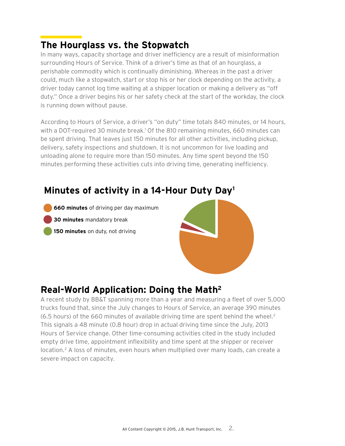# **The Hourglass vs. the Stopwatch**

In many ways, capacity shortage and driver inefficiency are a result of misinformation surrounding Hours of Service. Think of a driver's time as that of an hourglass, a perishable commodity which is continually diminishing. Whereas in the past a driver could, much like a stopwatch, start or stop his or her clock depending on the activity, a driver today cannot log time waiting at a shipper location or making a delivery as "off duty." Once a driver begins his or her safety check at the start of the workday, the clock is running down without pause.

According to Hours of Service, a driver's "on duty" time totals 840 minutes, or 14 hours, with a DOT-required 30 minute break.<sup>1</sup> Of the 810 remaining minutes, 660 minutes can be spent driving. That leaves just 150 minutes for all other activities, including pickup, delivery, safety inspections and shutdown. It is not uncommon for live loading and unloading alone to require more than 150 minutes. Any time spent beyond the 150 minutes performing these activities cuts into driving time, generating inefficiency.

# Minutes of activity in a 14-Hour Duty Day<sup>1</sup>

- **660 minutes** of driving per day maximum
- **30 minutes** mandatory break
- **150 minutes** on duty, not driving



## **Real-World Application: Doing the Math2**

A recent study by BB&T spanning more than a year and measuring a fleet of over 5,000 trucks found that, since the July changes to Hours of Service, an average 390 minutes  $(6.5$  hours) of the 660 minutes of available driving time are spent behind the wheel.<sup>2</sup> This signals a 48 minute (0.8 hour) drop in actual driving time since the July, 2013 Hours of Service change. Other time-consuming activities cited in the study included empty drive time, appointment inflexibility and time spent at the shipper or receiver location.<sup>2</sup> A loss of minutes, even hours when multiplied over many loads, can create a severe impact on capacity.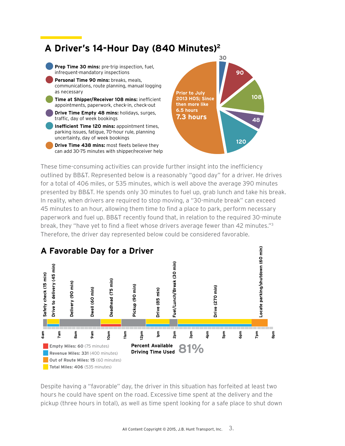# A Driver's 14-Hour Day (840 Minutes)<sup>2</sup>



These time-consuming activities can provide further insight into the inefficiency outlined by BB&T. Represented below is a reasonably "good day" for a driver. He drives **Drive** for a total of 406 miles, or 535 minutes, which is well above the average 390 minutes Duration (Minutes) 15 **45** 90 60 **75** 90 **85** 30 **270** 60 presented by BB&T. He spends only 30 minutes to fuel up, grab lunch and take his break. In reality, when drivers are required to stop moving, a "30-minute break" can exceed 45 minutes to an hour, allowing them time to find a place to park, perform necessary paperwork and fuel up. BB&T recently found that, in relation to the required 30-minute .<br>break, they "have yet to find a fleet whose drivers average fewer than 42 minutes."<sup>3</sup> aroun, may make you comma a necessarious annual arrors are algo roman many rainmarcor.<br>Therefore, the driver day represented below could be considered favorable.  $\mathcal{O}(\mathcal{O})$  and  $\mathcal{O}(\mathcal{O})$  is the sense of  $\mathcal{O}(\mathcal{O})$  for  $\mathcal{O}(\mathcal{O})$  and  $\mathcal{O}(\mathcal{O})$ **Safety Check Drive Delivery Dwell Deadhead Pickup Drive Fuel/Lunch/ Break Look for parking/ Shutdown**



Despite having a "favorable" day, the driver in this situation has forfeited at least two hours he could have spent on the road. Excessive time spent at the delivery and the pickup (three hours in total), as well as time spent looking for a safe place to shut down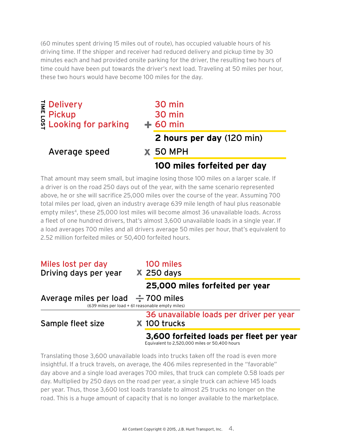(60 minutes spent driving 15 miles out of route), has occupied valuable hours of his driving time. If the shipper and receiver had reduced delivery and pickup time by 30 minutes each and had provided onsite parking for the driver, the resulting two hours of time could have been put towards the driver's next load. Traveling at 50 miles per hour, these two hours would have become 100 miles for the day.

| <b><math>\frac{1}{5}</math> Delivery</b><br>$P$ Pickup<br><sup>8</sup> Looking for parking | 30 min<br>30 min<br>$+60$ min |
|--------------------------------------------------------------------------------------------|-------------------------------|
|                                                                                            | 2 hours per day (120 min)     |
| Average speed                                                                              | <b>X 50 MPH</b>               |
|                                                                                            | 100 miles forfeited per day   |

That amount may seem small, but imagine losing those 100 miles on a larger scale. If a driver is on the road 250 days out of the year, with the same scenario represented above, he or she will sacrifice 25,000 miles over the course of the year. Assuming 700 total miles per load, given an industry average 639 mile length of haul plus reasonable empty miles<sup>4</sup>, these 25,000 lost miles will become almost 36 unavailable loads. Across a fleet of one hundred drivers, that's almost 3,600 unavailable loads in a single year. If a load averages 700 miles and all drivers average 50 miles per hour, that's equivalent to 2.52 million forfeited miles or 50,400 forfeited hours.

| Miles lost per day<br>Driving days per year                                                 |  | 100 miles<br>$X$ 250 days                                |  |  |  |
|---------------------------------------------------------------------------------------------|--|----------------------------------------------------------|--|--|--|
|                                                                                             |  | 25,000 miles forfeited per year                          |  |  |  |
| Average miles per load $\div$ 700 miles<br>(639 miles per load + 61 reasonable empty miles) |  |                                                          |  |  |  |
| Sample fleet size                                                                           |  | 36 unavailable loads per driver per year<br>X 100 trucks |  |  |  |
|                                                                                             |  | 3,600 forfeited loads per fleet per year                 |  |  |  |

Equivalent to 2,520,000 miles or 50,400 hours

Translating those 3,600 unavailable loads into trucks taken off the road is even more insightful. If a truck travels, on average, the 406 miles represented in the "favorable" day above and a single load averages 700 miles, that truck can complete 0.58 loads per day. Multiplied by 250 days on the road per year, a single truck can achieve 145 loads per year. Thus, those 3,600 lost loads translate to almost 25 trucks no longer on the road. This is a huge amount of capacity that is no longer available to the marketplace.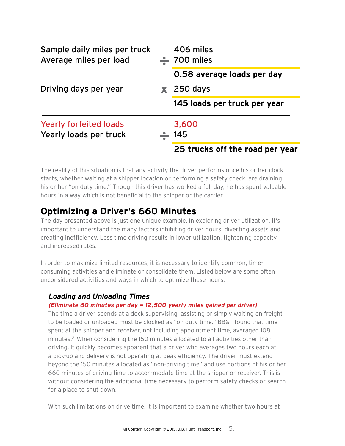| Sample daily miles per truck<br>Average miles per load |  | 406 miles<br>$\frac{1}{2}$ 700 miles |  |
|--------------------------------------------------------|--|--------------------------------------|--|
|                                                        |  | 0.58 average loads per day           |  |
| Driving days per year                                  |  | $\boldsymbol{\mathsf{X}}$ 250 days   |  |
|                                                        |  | 145 loads per truck per year         |  |
| <b>Yearly forfeited loads</b>                          |  | 3,600                                |  |
| Yearly loads per truck                                 |  | 145                                  |  |
|                                                        |  | 25 trucks off the road per year      |  |

The reality of this situation is that any activity the driver performs once his or her clock starts, whether waiting at a shipper location or performing a safety check, are draining his or her "on duty time." Though this driver has worked a full day, he has spent valuable hours in a way which is not beneficial to the shipper or the carrier.

### **Optimizing a Driver's 660 Minutes**

The day presented above is just one unique example. In exploring driver utilization, it's important to understand the many factors inhibiting driver hours, diverting assets and creating inefficiency. Less time driving results in lower utilization, tightening capacity and increased rates.

In order to maximize limited resources, it is necessary to identify common, timeconsuming activities and eliminate or consolidate them. Listed below are some often unconsidered activities and ways in which to optimize these hours:

#### **Loading and Unloading Times**

#### **(Eliminate 60 minutes per day = 12,500 yearly miles gained per driver)**

The time a driver spends at a dock supervising, assisting or simply waiting on freight to be loaded or unloaded must be clocked as "on duty time." BB&T found that time spent at the shipper and receiver, not including appointment time, averaged 108 minutes.2 When considering the 150 minutes allocated to all activities other than driving, it quickly becomes apparent that a driver who averages two hours each at a pick-up and delivery is not operating at peak efficiency. The driver must extend beyond the 150 minutes allocated as "non-driving time" and use portions of his or her 660 minutes of driving time to accommodate time at the shipper or receiver. This is without considering the additional time necessary to perform safety checks or search for a place to shut down.

With such limitations on drive time, it is important to examine whether two hours at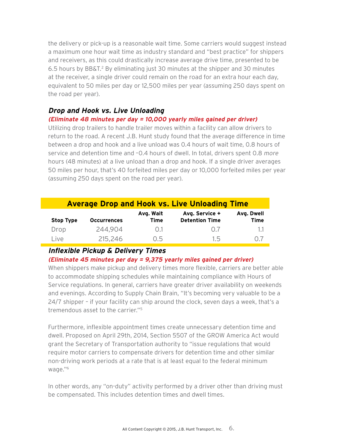the delivery or pick-up is a reasonable wait time. Some carriers would suggest instead a maximum one hour wait time as industry standard and "best practice" for shippers and receivers, as this could drastically increase average drive time, presented to be 6.5 hours by BB&T.<sup>2</sup> By eliminating just 30 minutes at the shipper and 30 minutes at the receiver, a single driver could remain on the road for an extra hour each day, equivalent to 50 miles per day or 12,500 miles per year (assuming 250 days spent on the road per year).

#### **Drop and Hook vs. Live Unloading**

#### **(Eliminate 48 minutes per day = 10,000 yearly miles gained per driver)**

Utilizing drop trailers to handle trailer moves within a facility can allow drivers to return to the road. A recent J.B. Hunt study found that the average difference in time between a drop and hook and a live unload was 0.4 hours of wait time, 0.8 hours of service and detention time and -0.4 hours of dwell. In total, drivers spent 0.8 more hours (48 minutes) at a live unload than a drop and hook. If a single driver averages 50 miles per hour, that's 40 forfeited miles per day or 10,000 forfeited miles per year (assuming 250 days spent on the road per year).

| <b>Average Drop and Hook vs. Live Unloading Time</b> |                    |                          |                                         |                           |  |  |  |
|------------------------------------------------------|--------------------|--------------------------|-----------------------------------------|---------------------------|--|--|--|
| <b>Stop Type</b>                                     | <b>Occurrences</b> | Avg. Wait<br><b>Time</b> | Avg. Service +<br><b>Detention Time</b> | Avg. Dwell<br><b>Time</b> |  |  |  |
| Drop                                                 | 244,904            | 0.1                      | ()                                      | 1.1                       |  |  |  |
| Live                                                 | 215,246            | ი 5                      | 15                                      |                           |  |  |  |

#### **Inflexible Pickup & Delivery Times**

**(Eliminate 45 minutes per day = 9,375 yearly miles gained per driver)**

When shippers make pickup and delivery times more flexible, carriers are better able to accommodate shipping schedules while maintaining compliance with Hours of Service regulations. In general, carriers have greater driver availability on weekends and evenings. According to Supply Chain Brain, "It's becoming very valuable to be a 24/7 shipper – if your facility can ship around the clock, seven days a week, that's a tremendous asset to the carrier."5

Furthermore, inflexible appointment times create unnecessary detention time and dwell. Proposed on April 29th, 2014, Section 5507 of the GROW America Act would grant the Secretary of Transportation authority to "issue regulations that would require motor carriers to compensate drivers for detention time and other similar non-driving work periods at a rate that is at least equal to the federal minimum wage."6

In other words, any "on-duty" activity performed by a driver other than driving must be compensated. This includes detention times and dwell times.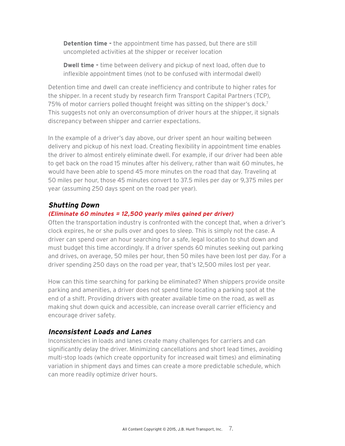**Detention time -** the appointment time has passed, but there are still uncompleted activities at the shipper or receiver location

**Dwell time -** time between delivery and pickup of next load, often due to inflexible appointment times (not to be confused with intermodal dwell)

Detention time and dwell can create inefficiency and contribute to higher rates for the shipper. In a recent study by research firm Transport Capital Partners (TCP), 75% of motor carriers polled thought freight was sitting on the shipper's dock.<sup>7</sup> This suggests not only an overconsumption of driver hours at the shipper, it signals discrepancy between shipper and carrier expectations.

In the example of a driver's day above, our driver spent an hour waiting between delivery and pickup of his next load. Creating flexibility in appointment time enables the driver to almost entirely eliminate dwell. For example, if our driver had been able to get back on the road 15 minutes after his delivery, rather than wait 60 minutes, he would have been able to spend 45 more minutes on the road that day. Traveling at 50 miles per hour, those 45 minutes convert to 37.5 miles per day or 9,375 miles per year (assuming 250 days spent on the road per year).

#### **Shutting Down**

#### **(Eliminate 60 minutes = 12,500 yearly miles gained per driver)**

Often the transportation industry is confronted with the concept that, when a driver's clock expires, he or she pulls over and goes to sleep. This is simply not the case. A driver can spend over an hour searching for a safe, legal location to shut down and must budget this time accordingly. If a driver spends 60 minutes seeking out parking and drives, on average, 50 miles per hour, then 50 miles have been lost per day. For a driver spending 250 days on the road per year, that's 12,500 miles lost per year.

How can this time searching for parking be eliminated? When shippers provide onsite parking and amenities, a driver does not spend time locating a parking spot at the end of a shift. Providing drivers with greater available time on the road, as well as making shut down quick and accessible, can increase overall carrier efficiency and encourage driver safety.

#### **Inconsistent Loads and Lanes**

Inconsistencies in loads and lanes create many challenges for carriers and can significantly delay the driver. Minimizing cancellations and short lead times, avoiding multi-stop loads (which create opportunity for increased wait times) and eliminating variation in shipment days and times can create a more predictable schedule, which can more readily optimize driver hours.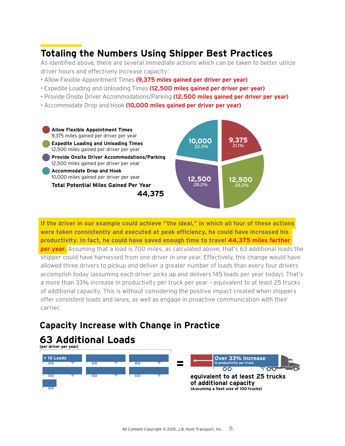# **Totaling the Numbers Using Shipper Best Practices**

As identified above, there are several immediate actions which can be taken to better utilize driver hours and effectively increase capacity:

- Allow Flexible Appointment Times **(9,375 miles gained per driver per year)**
- Expedite Loading and Unloading Times **(12,500 miles gained per driver per year)**
- Provide Onsite Driver Accommodations/Parking **(12,500 miles gained per driver per year)**
- Accommodate Drop and Hook **(10,000 miles gained per driver per year)**



**If the driver in our example could achieve "the ideal," in which all four of these actions were taken consistently and executed at peak efficiency, he could have increased his productivity. In fact, he could have saved enough time to travel 44,375 miles farther per year.** Assuming that a load is 700 miles, as calculated above, that's 63 additional loads the shipper could have harnessed from one driver in one year. Effectively, this change would have allowed three drivers to pickup and deliver a greater number of loads than every four drivers accomplish today (assuming each driver picks up and delivers 145 loads per year today). That's a more than 33% increase in productivity per truck per year – equivalent to at least 25 trucks of additional capacity. This is without considering the positive impact created when shippers offer consistent loads and lanes, as well as engage in proactive communication with their carrier.

### **Capacity Increase with Change in Practice**

#### **63 Additional Loads (per driver per year)**

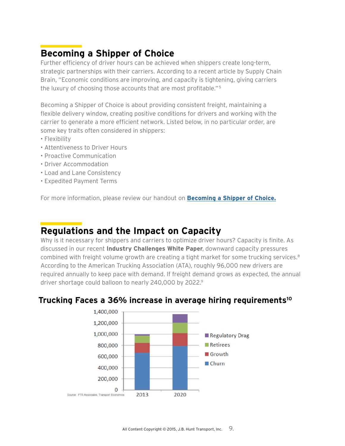# **Becoming a Shipper of Choice**

Further efficiency of driver hours can be achieved when shippers create long-term, strategic partnerships with their carriers. According to a recent article by Supply Chain Brain, "Economic conditions are improving, and capacity is tightening, giving carriers the luxury of choosing those accounts that are most profitable." <sup>5</sup>

Becoming a Shipper of Choice is about providing consistent freight, maintaining a flexible delivery window, creating positive conditions for drivers and working with the carrier to generate a more efficient network. Listed below, in no particular order, are some key traits often considered in shippers:

- Flexibility
- Attentiveness to Driver Hours
- Proactive Communication
- Driver Accommodation
- Load and Lane Consistency
- Expedited Payment Terms

For more information, please review our handout on **[Becoming a Shipper of Choice.](http://blog.jbhunt.com/wp-content/themes/files/pdf/Shipper_of_choice.pdf)**

## **Regulations and the Impact on Capacity**

Why is it necessary for shippers and carriers to optimize driver hours? Capacity is finite. As discussed in our recent **Industry Challenges White Paper**, downward capacity pressures combined with freight volume growth are creating a tight market for some trucking services.<sup>8</sup> According to the American Trucking Association (ATA), roughly 96,000 new drivers are required annually to keep pace with demand. If freight demand grows as expected, the annual driver shortage could balloon to nearly 240,000 by 2022.9

#### **Trucking Faces a 36% increase in average hiring requirements10**

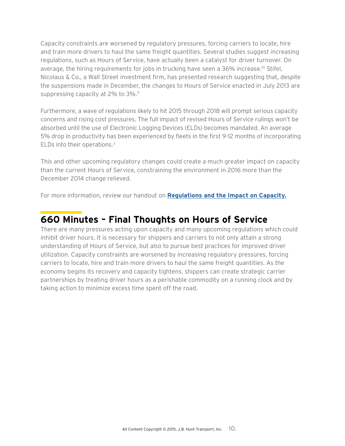Capacity constraints are worsened by regulatory pressures, forcing carriers to locate, hire and train more drivers to haul the same freight quantities. Several studies suggest increasing regulations, such as Hours of Service, have actually been a catalyst for driver turnover. On average, the hiring requirements for jobs in trucking have seen a 36% increase.10 Stifel, Nicolaus & Co., a Wall Street investment firm, has presented research suggesting that, despite the suspensions made in December, the changes to Hours of Service enacted in July 2013 are suppressing capacity at 2% to 3%.<sup>11</sup>

Furthermore, a wave of regulations likely to hit 2015 through 2018 will prompt serious capacity concerns and rising cost pressures. The full impact of revised Hours of Service rulings won't be absorbed until the use of Electronic Logging Devices (ELDs) becomes mandated. An average 5% drop in productivity has been experienced by fleets in the first 9-12 months of incorporating ELDs into their operations.3

This and other upcoming regulatory changes could create a much greater impact on capacity than the current Hours of Service, constraining the environment in 2016 more than the December 2014 change relieved.

For more information, review our handout on **[Regulations and the Impact on Capacity.](http://blog.jbhunt.com/wp-content/themes/files/pdf/Upcoming_Regulations.pdf)**

### **660 Minutes – Final Thoughts on Hours of Service**

There are many pressures acting upon capacity and many upcoming regulations which could inhibit driver hours. It is necessary for shippers and carriers to not only attain a strong understanding of Hours of Service, but also to pursue best practices for improved driver utilization. Capacity constraints are worsened by increasing regulatory pressures, forcing carriers to locate, hire and train more drivers to haul the same freight quantities. As the economy begins its recovery and capacity tightens, shippers can create strategic carrier partnerships by treating driver hours as a perishable commodity on a running clock and by taking action to minimize excess time spent off the road.